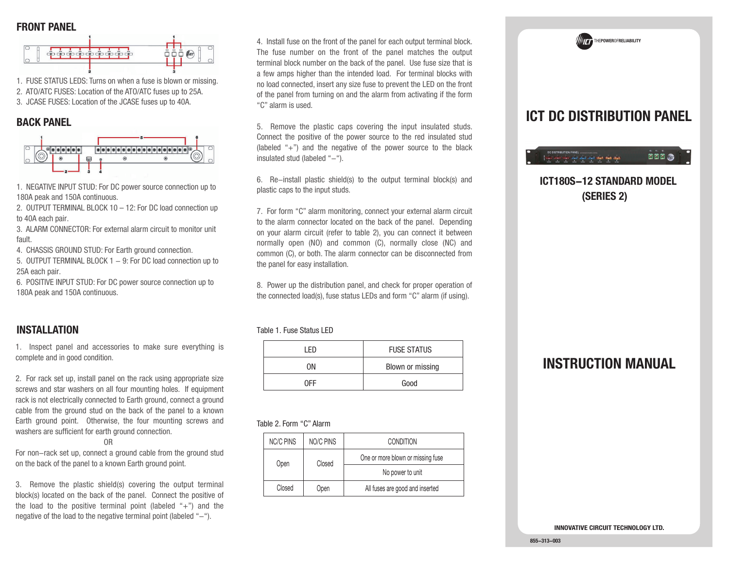#### **FRONT PANEL**



1. FUSE STATUS LEDS: Turns on when a fuse is blown or missing.

2. ATO/ATC FUSES: Location of the ATO/ATC fuses up to 25A.

3. JCASE FUSES: Location of the JCASE fuses up to 40A.

#### **BACK PANEL**



1. NEGATIVE INPUT STUD: For DC power source connection up to 180A peak and 150A continuous.

2. OUTPUT TERMINAL BLOCK 10 – 12: For DC load connection up to 40A each pair.

3. ALARM CONNECTOR: For external alarm circuit to monitor unit fault.

4. CHASSIS GROUND STUD: For Earth ground connection.

5. OUTPUT TERMINAL BLOCK 1 – 9: For DC load connection up to 25A each pair.

6. POSITIVE INPUT STUD: For DC power source connection up to 180A peak and 150A continuous.

### **INSTALLATION**

1. Inspect panel and accessories to make sure everything is complete and in good condition.

2. For rack set up, install panel on the rack using appropriate size screws and star washers on all four mounting holes. If equipment rack is not electrically connected to Earth ground, connect a ground cable from the ground stud on the back of the panel to a known Earth ground point. Otherwise, the four mounting screws and washers are sufficient for earth ground connection.

#### OR

 For non-rack set up, connect a ground cable from the ground stud on the back of the panel to a known Earth ground point.

3. Remove the plastic shield(s) covering the output terminal block(s) located on the back of the panel. Connect the positive of the load to the positive terminal point (labeled " $+$ ") and the negative of the load to the negative terminal point (labeled  $-$ ").

4. Install fuse on the front of the panel for each output terminal block. The fuse number on the front of the panel matches the output terminal block number on the back of the panel. Use fuse size that is a few amps higher than the intended load. For terminal blocks with no load connected, insert any size fuse to prevent the LED on the front of the panel from turning on and the alarm from activating if the form "C" alarm is used.

5. Remove the plastic caps covering the input insulated studs. Connect the positive of the power source to the red insulated stud (labeled " $+$ ") and the negative of the power source to the black insulated stud (labeled "-").

6. Re-install plastic shield(s) to the output terminal block(s) and plastic caps to the input studs.

7. For form "C" alarm monitoring, connect your external alarm circuit to the alarm connector located on the back of the panel. Depending on your alarm circuit (refer to table 2), you can connect it between normally open (NO) and common (C), normally close (NC) and common (C), or both. The alarm connector can be disconnected from the panel for easy installation.

8. Power up the distribution panel, and check for proper operation of the connected load(s), fuse status LEDs and form "C" alarm (if using).

Table 1. Fuse Status LED

| I FN | <b>FUSE STATUS</b> |
|------|--------------------|
| ΩN   | Blown or missing   |
| NEE  | Good               |

#### Table 2. Form "C" Alarm

| <b>NC/C PINS</b> | NO/C PINS                         | <b>CONDITION</b>                |
|------------------|-----------------------------------|---------------------------------|
| Closed<br>Open   | One or more blown or missing fuse |                                 |
|                  | No power to unit                  |                                 |
| Closed           | Open                              | All fuses are good and inserted |

# **ICT DC DISTRIBUTION PANEL**

THE**POWER**OF**RELIABILITY**

#### **DDD For the New Sections and Ke**

## **ICT180S-12 STANDARD MODEL(SERIES 2)**

## **INSTRUCTION MANUAL**

**INNOVATIVE CIRCUIT TECHNOLOGY LTD.**